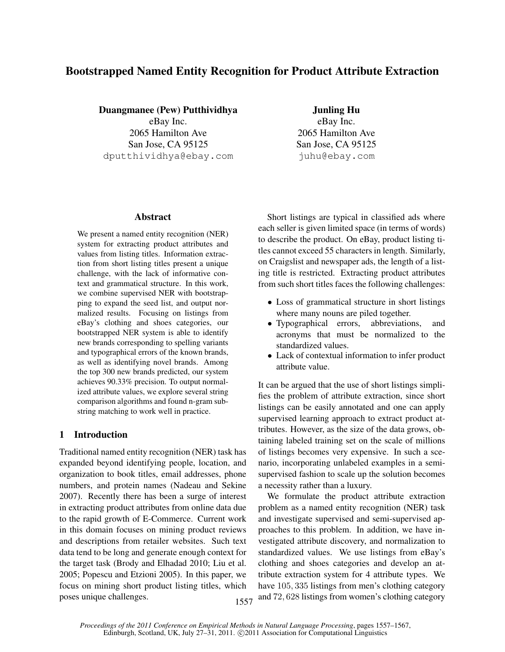# Bootstrapped Named Entity Recognition for Product Attribute Extraction

Duangmanee (Pew) Putthividhya

eBay Inc. 2065 Hamilton Ave San Jose, CA 95125 dputthividhya@ebay.com

Abstract

We present a named entity recognition (NER) system for extracting product attributes and values from listing titles. Information extraction from short listing titles present a unique challenge, with the lack of informative context and grammatical structure. In this work, we combine supervised NER with bootstrapping to expand the seed list, and output normalized results. Focusing on listings from eBay's clothing and shoes categories, our bootstrapped NER system is able to identify new brands corresponding to spelling variants and typographical errors of the known brands, as well as identifying novel brands. Among the top 300 new brands predicted, our system achieves 90.33% precision. To output normalized attribute values, we explore several string comparison algorithms and found n-gram substring matching to work well in practice.

# 1 Introduction

Traditional named entity recognition (NER) task has expanded beyond identifying people, location, and organization to book titles, email addresses, phone numbers, and protein names (Nadeau and Sekine 2007). Recently there has been a surge of interest in extracting product attributes from online data due to the rapid growth of E-Commerce. Current work in this domain focuses on mining product reviews and descriptions from retailer websites. Such text data tend to be long and generate enough context for the target task (Brody and Elhadad 2010; Liu et al. 2005; Popescu and Etzioni 2005). In this paper, we focus on mining short product listing titles, which poses unique challenges.

Junling Hu eBay Inc. 2065 Hamilton Ave San Jose, CA 95125 juhu@ebay.com

Short listings are typical in classified ads where each seller is given limited space (in terms of words) to describe the product. On eBay, product listing titles cannot exceed 55 characters in length. Similarly, on Craigslist and newspaper ads, the length of a listing title is restricted. Extracting product attributes from such short titles faces the following challenges:

- Loss of grammatical structure in short listings where many nouns are piled together.
- Typographical errors, abbreviations, and acronyms that must be normalized to the standardized values.
- Lack of contextual information to infer product attribute value.

It can be argued that the use of short listings simplifies the problem of attribute extraction, since short listings can be easily annotated and one can apply supervised learning approach to extract product attributes. However, as the size of the data grows, obtaining labeled training set on the scale of millions of listings becomes very expensive. In such a scenario, incorporating unlabeled examples in a semisupervised fashion to scale up the solution becomes a necessity rather than a luxury.

We formulate the product attribute extraction problem as a named entity recognition (NER) task and investigate supervised and semi-supervised approaches to this problem. In addition, we have investigated attribute discovery, and normalization to standardized values. We use listings from eBay's clothing and shoes categories and develop an attribute extraction system for 4 attribute types. We have 105, 335 listings from men's clothing category 1557 and 72, 628 listings from women's clothing category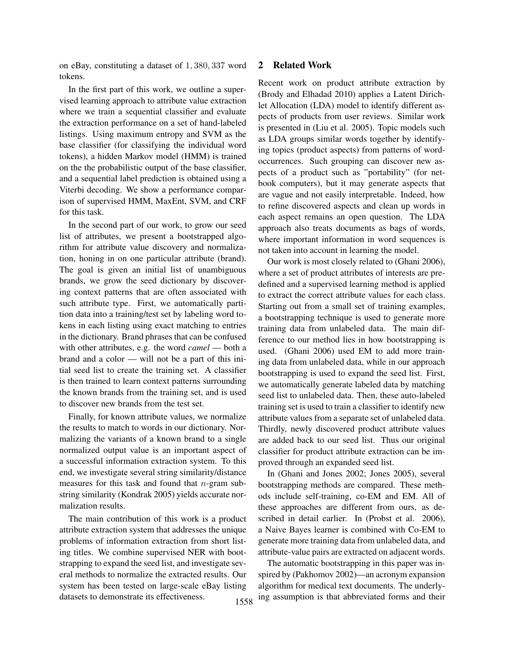on eBay, constituting a dataset of 1, 380, 337 word tokens.

In the first part of this work, we outline a supervised learning approach to attribute value extraction where we train a sequential classifier and evaluate the extraction performance on a set of hand-labeled listings. Using maximum entropy and SVM as the base classifier (for classifying the individual word tokens), a hidden Markov model (HMM) is trained on the the probabilistic output of the base classifier, and a sequential label prediction is obtained using a Viterbi decoding. We show a performance comparison of supervised HMM, MaxEnt, SVM, and CRF for this task.

In the second part of our work, to grow our seed list of attributes, we present a bootstrapped algorithm for attribute value discovery and normalization, honing in on one particular attribute (brand). The goal is given an initial list of unambiguous brands, we grow the seed dictionary by discovering context patterns that are often associated with such attribute type. First, we automatically partition data into a training/test set by labeling word tokens in each listing using exact matching to entries in the dictionary. Brand phrases that can be confused with other attributes, e.g. the word *camel* — both a brand and a color — will not be a part of this initial seed list to create the training set. A classifier is then trained to learn context patterns surrounding the known brands from the training set, and is used to discover new brands from the test set.

Finally, for known attribute values, we normalize the results to match to words in our dictionary. Normalizing the variants of a known brand to a single normalized output value is an important aspect of a successful information extraction system. To this end, we investigate several string similarity/distance measures for this task and found that  $n$ -gram substring similarity (Kondrak 2005) yields accurate normalization results.

The main contribution of this work is a product attribute extraction system that addresses the unique problems of information extraction from short listing titles. We combine supervised NER with bootstrapping to expand the seed list, and investigate several methods to normalize the extracted results. Our system has been tested on large-scale eBay listing datasets to demonstrate its effectiveness.

# 2 Related Work

Recent work on product attribute extraction by (Brody and Elhadad 2010) applies a Latent Dirichlet Allocation (LDA) model to identify different aspects of products from user reviews. Similar work is presented in (Liu et al. 2005). Topic models such as LDA groups similar words together by identifying topics (product aspects) from patterns of wordoccurrences. Such grouping can discover new aspects of a product such as "portability" (for netbook computers), but it may generate aspects that are vague and not easily interpretable. Indeed, how to refine discovered aspects and clean up words in each aspect remains an open question. The LDA approach also treats documents as bags of words, where important information in word sequences is not taken into account in learning the model.

Our work is most closely related to (Ghani 2006), where a set of product attributes of interests are predefined and a supervised learning method is applied to extract the correct attribute values for each class. Starting out from a small set of training examples, a bootstrapping technique is used to generate more training data from unlabeled data. The main difference to our method lies in how bootstrapping is used. (Ghani 2006) used EM to add more training data from unlabeled data, while in our approach bootstrapping is used to expand the seed list. First, we automatically generate labeled data by matching seed list to unlabeled data. Then, these auto-labeled training set is used to train a classifier to identify new attribute values from a separate set of unlabeled data. Thirdly, newly discovered product attribute values are added back to our seed list. Thus our original classifier for product attribute extraction can be improved through an expanded seed list.

In (Ghani and Jones 2002; Jones 2005), several bootstrapping methods are compared. These methods include self-training, co-EM and EM. All of these approaches are different from ours, as described in detail earlier. In (Probst et al. 2006), a Naive Bayes learner is combined with Co-EM to generate more training data from unlabeled data, and attribute-value pairs are extracted on adjacent words.

The automatic bootstrapping in this paper was inspired by (Pakhomov 2002)—an acronym expansion algorithm for medical text documents. The underly-1558 ing assumption is that abbreviated forms and their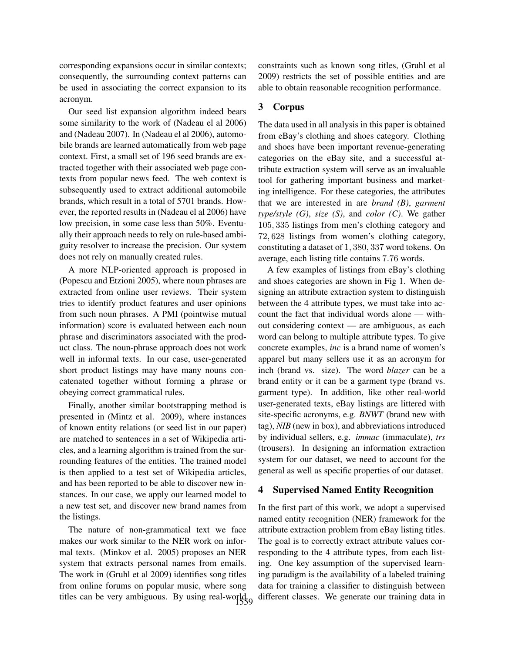corresponding expansions occur in similar contexts; consequently, the surrounding context patterns can be used in associating the correct expansion to its acronym.

Our seed list expansion algorithm indeed bears some similarity to the work of (Nadeau el al 2006) and (Nadeau 2007). In (Nadeau el al 2006), automobile brands are learned automatically from web page context. First, a small set of 196 seed brands are extracted together with their associated web page contexts from popular news feed. The web context is subsequently used to extract additional automobile brands, which result in a total of 5701 brands. However, the reported results in (Nadeau el al 2006) have low precision, in some case less than 50%. Eventually their approach needs to rely on rule-based ambiguity resolver to increase the precision. Our system does not rely on manually created rules.

A more NLP-oriented approach is proposed in (Popescu and Etzioni 2005), where noun phrases are extracted from online user reviews. Their system tries to identify product features and user opinions from such noun phrases. A PMI (pointwise mutual information) score is evaluated between each noun phrase and discriminators associated with the product class. The noun-phrase approach does not work well in informal texts. In our case, user-generated short product listings may have many nouns concatenated together without forming a phrase or obeying correct grammatical rules.

Finally, another similar bootstrapping method is presented in (Mintz et al. 2009), where instances of known entity relations (or seed list in our paper) are matched to sentences in a set of Wikipedia articles, and a learning algorithm is trained from the surrounding features of the entities. The trained model is then applied to a test set of Wikipedia articles, and has been reported to be able to discover new instances. In our case, we apply our learned model to a new test set, and discover new brand names from the listings.

The nature of non-grammatical text we face makes our work similar to the NER work on informal texts. (Minkov et al. 2005) proposes an NER system that extracts personal names from emails. The work in (Gruhl et al 2009) identifies song titles from online forums on popular music, where song titles can be very ambiguous. By using real-world,

constraints such as known song titles, (Gruhl et al 2009) restricts the set of possible entities and are able to obtain reasonable recognition performance.

# 3 Corpus

The data used in all analysis in this paper is obtained from eBay's clothing and shoes category. Clothing and shoes have been important revenue-generating categories on the eBay site, and a successful attribute extraction system will serve as an invaluable tool for gathering important business and marketing intelligence. For these categories, the attributes that we are interested in are *brand (B)*, *garment type/style (G)*, *size (S)*, and *color (C)*. We gather 105, 335 listings from men's clothing category and 72, 628 listings from women's clothing category, constituting a dataset of 1, 380, 337 word tokens. On average, each listing title contains 7.76 words.

A few examples of listings from eBay's clothing and shoes categories are shown in Fig 1. When designing an attribute extraction system to distinguish between the 4 attribute types, we must take into account the fact that individual words alone — without considering context — are ambiguous, as each word can belong to multiple attribute types. To give concrete examples, *inc* is a brand name of women's apparel but many sellers use it as an acronym for inch (brand vs. size). The word *blazer* can be a brand entity or it can be a garment type (brand vs. garment type). In addition, like other real-world user-generated texts, eBay listings are littered with site-specific acronyms, e.g. *BNWT* (brand new with tag), *NIB* (new in box), and abbreviations introduced by individual sellers, e.g. *immac* (immaculate), *trs* (trousers). In designing an information extraction system for our dataset, we need to account for the general as well as specific properties of our dataset.

#### 4 Supervised Named Entity Recognition

In the first part of this work, we adopt a supervised named entity recognition (NER) framework for the attribute extraction problem from eBay listing titles. The goal is to correctly extract attribute values corresponding to the 4 attribute types, from each listing. One key assumption of the supervised learning paradigm is the availability of a labeled training data for training a classifier to distinguish between different classes. We generate our training data in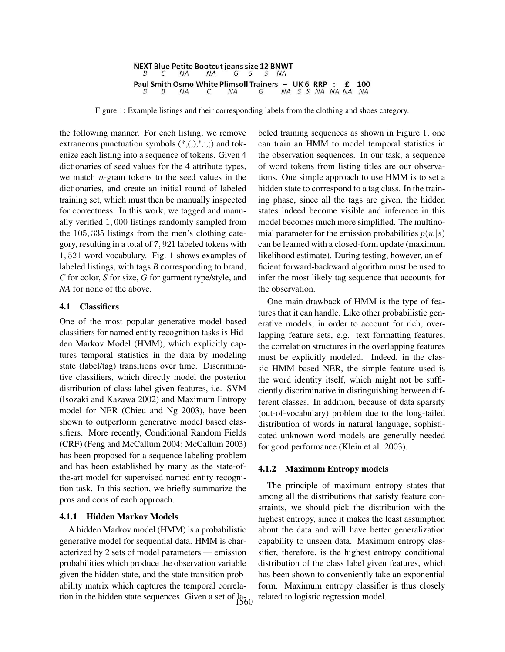NEXT Blue Petite Bootcut jeans size 12 BNWT Β  $\mathcal{C}$ NA NA G S S NA Paul Smith Osmo White Plimsoll Trainers - UK 6 RRP : £ 100 NA S S NA NA NA NA  $NA$ C NA G

Figure 1: Example listings and their corresponding labels from the clothing and shoes category.

the following manner. For each listing, we remove extraneous punctuation symbols  $(*, (),!, :,,:)$  and tokenize each listing into a sequence of tokens. Given 4 dictionaries of seed values for the 4 attribute types, we match  $n$ -gram tokens to the seed values in the dictionaries, and create an initial round of labeled training set, which must then be manually inspected for correctness. In this work, we tagged and manually verified 1, 000 listings randomly sampled from the 105, 335 listings from the men's clothing category, resulting in a total of 7, 921 labeled tokens with 1, 521-word vocabulary. Fig. 1 shows examples of labeled listings, with tags *B* corresponding to brand, *C* for color, *S* for size, *G* for garment type/style, and *NA* for none of the above.

## 4.1 Classifiers

One of the most popular generative model based classifiers for named entity recognition tasks is Hidden Markov Model (HMM), which explicitly captures temporal statistics in the data by modeling state (label/tag) transitions over time. Discriminative classifiers, which directly model the posterior distribution of class label given features, i.e. SVM (Isozaki and Kazawa 2002) and Maximum Entropy model for NER (Chieu and Ng 2003), have been shown to outperform generative model based classifiers. More recently, Conditional Random Fields (CRF) (Feng and McCallum 2004; McCallum 2003) has been proposed for a sequence labeling problem and has been established by many as the state-ofthe-art model for supervised named entity recognition task. In this section, we briefly summarize the pros and cons of each approach.

# 4.1.1 Hidden Markov Models

A hidden Markov model (HMM) is a probabilistic generative model for sequential data. HMM is characterized by 2 sets of model parameters — emission probabilities which produce the observation variable given the hidden state, and the state transition probability matrix which captures the temporal correlation in the hidden state sequences. Given a set of  $12\overline{60}$ 

beled training sequences as shown in Figure 1, one can train an HMM to model temporal statistics in the observation sequences. In our task, a sequence of word tokens from listing titles are our observations. One simple approach to use HMM is to set a hidden state to correspond to a tag class. In the training phase, since all the tags are given, the hidden states indeed become visible and inference in this model becomes much more simplified. The multinomial parameter for the emission probabilities  $p(w|s)$ can be learned with a closed-form update (maximum likelihood estimate). During testing, however, an efficient forward-backward algorithm must be used to infer the most likely tag sequence that accounts for the observation.

One main drawback of HMM is the type of features that it can handle. Like other probabilistic generative models, in order to account for rich, overlapping feature sets, e.g. text formatting features, the correlation structures in the overlapping features must be explicitly modeled. Indeed, in the classic HMM based NER, the simple feature used is the word identity itself, which might not be sufficiently discriminative in distinguishing between different classes. In addition, because of data sparsity (out-of-vocabulary) problem due to the long-tailed distribution of words in natural language, sophisticated unknown word models are generally needed for good performance (Klein et al. 2003).

#### 4.1.2 Maximum Entropy models

The principle of maximum entropy states that among all the distributions that satisfy feature constraints, we should pick the distribution with the highest entropy, since it makes the least assumption about the data and will have better generalization capability to unseen data. Maximum entropy classifier, therefore, is the highest entropy conditional distribution of the class label given features, which has been shown to conveniently take an exponential form. Maximum entropy classifier is thus closely related to logistic regression model.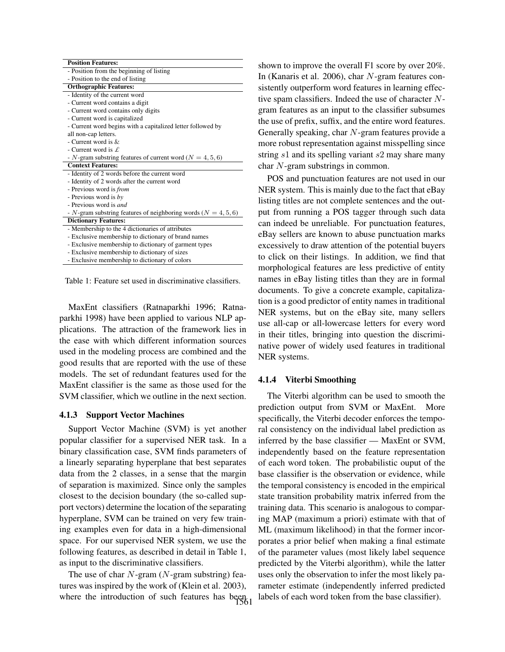| - Position from the beginning of listing<br>- Position to the end of listing<br><b>Orthographic Features:</b><br>- Identity of the current word<br>- Current word contains a digit<br>- Current word contains only digits<br>- Current word is capitalized<br>- Current word begins with a capitalized letter followed by<br>all non-cap letters.<br>- Current word is $\&$<br>- Current word is $\mathcal{L}$<br>- N-gram substring features of current word ( $N = 4, 5, 6$ )<br><b>Context Features:</b><br>- Identity of 2 words before the current word<br>- Identity of 2 words after the current word<br>- Previous word is <i>from</i><br>- Previous word is by |
|-------------------------------------------------------------------------------------------------------------------------------------------------------------------------------------------------------------------------------------------------------------------------------------------------------------------------------------------------------------------------------------------------------------------------------------------------------------------------------------------------------------------------------------------------------------------------------------------------------------------------------------------------------------------------|
|                                                                                                                                                                                                                                                                                                                                                                                                                                                                                                                                                                                                                                                                         |
|                                                                                                                                                                                                                                                                                                                                                                                                                                                                                                                                                                                                                                                                         |
|                                                                                                                                                                                                                                                                                                                                                                                                                                                                                                                                                                                                                                                                         |
|                                                                                                                                                                                                                                                                                                                                                                                                                                                                                                                                                                                                                                                                         |
|                                                                                                                                                                                                                                                                                                                                                                                                                                                                                                                                                                                                                                                                         |
|                                                                                                                                                                                                                                                                                                                                                                                                                                                                                                                                                                                                                                                                         |
|                                                                                                                                                                                                                                                                                                                                                                                                                                                                                                                                                                                                                                                                         |
|                                                                                                                                                                                                                                                                                                                                                                                                                                                                                                                                                                                                                                                                         |
|                                                                                                                                                                                                                                                                                                                                                                                                                                                                                                                                                                                                                                                                         |
|                                                                                                                                                                                                                                                                                                                                                                                                                                                                                                                                                                                                                                                                         |
|                                                                                                                                                                                                                                                                                                                                                                                                                                                                                                                                                                                                                                                                         |
|                                                                                                                                                                                                                                                                                                                                                                                                                                                                                                                                                                                                                                                                         |
|                                                                                                                                                                                                                                                                                                                                                                                                                                                                                                                                                                                                                                                                         |
|                                                                                                                                                                                                                                                                                                                                                                                                                                                                                                                                                                                                                                                                         |
|                                                                                                                                                                                                                                                                                                                                                                                                                                                                                                                                                                                                                                                                         |
|                                                                                                                                                                                                                                                                                                                                                                                                                                                                                                                                                                                                                                                                         |
|                                                                                                                                                                                                                                                                                                                                                                                                                                                                                                                                                                                                                                                                         |
| - Previous word is <i>and</i>                                                                                                                                                                                                                                                                                                                                                                                                                                                                                                                                                                                                                                           |
| - N-gram substring features of neighboring words ( $N = 4, 5, 6$ )                                                                                                                                                                                                                                                                                                                                                                                                                                                                                                                                                                                                      |
| <b>Dictionary Features:</b>                                                                                                                                                                                                                                                                                                                                                                                                                                                                                                                                                                                                                                             |
| - Membership to the 4 dictionaries of attributes                                                                                                                                                                                                                                                                                                                                                                                                                                                                                                                                                                                                                        |
| - Exclusive membership to dictionary of brand names                                                                                                                                                                                                                                                                                                                                                                                                                                                                                                                                                                                                                     |
| - Exclusive membership to dictionary of garment types                                                                                                                                                                                                                                                                                                                                                                                                                                                                                                                                                                                                                   |
| - Exclusive membership to dictionary of sizes                                                                                                                                                                                                                                                                                                                                                                                                                                                                                                                                                                                                                           |
| - Exclusive membership to dictionary of colors                                                                                                                                                                                                                                                                                                                                                                                                                                                                                                                                                                                                                          |

Table 1: Feature set used in discriminative classifiers.

MaxEnt classifiers (Ratnaparkhi 1996; Ratnaparkhi 1998) have been applied to various NLP applications. The attraction of the framework lies in the ease with which different information sources used in the modeling process are combined and the good results that are reported with the use of these models. The set of redundant features used for the MaxEnt classifier is the same as those used for the SVM classifier, which we outline in the next section.

# 4.1.3 Support Vector Machines

Support Vector Machine (SVM) is yet another popular classifier for a supervised NER task. In a binary classification case, SVM finds parameters of a linearly separating hyperplane that best separates data from the 2 classes, in a sense that the margin of separation is maximized. Since only the samples closest to the decision boundary (the so-called support vectors) determine the location of the separating hyperplane, SVM can be trained on very few training examples even for data in a high-dimensional space. For our supervised NER system, we use the following features, as described in detail in Table 1, as input to the discriminative classifiers.

The use of char  $N$ -gram ( $N$ -gram substring) features was inspired by the work of (Klein et al. 2003), where the introduction of such features has been

shown to improve the overall F1 score by over 20%. In (Kanaris et al. 2006), char N-gram features consistently outperform word features in learning effective spam classifiers. Indeed the use of character Ngram features as an input to the classifier subsumes the use of prefix, suffix, and the entire word features. Generally speaking, char  $N$ -gram features provide a more robust representation against misspelling since string s1 and its spelling variant s2 may share many char N-gram substrings in common.

POS and punctuation features are not used in our NER system. This is mainly due to the fact that eBay listing titles are not complete sentences and the output from running a POS tagger through such data can indeed be unreliable. For punctuation features, eBay sellers are known to abuse punctuation marks excessively to draw attention of the potential buyers to click on their listings. In addition, we find that morphological features are less predictive of entity names in eBay listing titles than they are in formal documents. To give a concrete example, capitalization is a good predictor of entity names in traditional NER systems, but on the eBay site, many sellers use all-cap or all-lowercase letters for every word in their titles, bringing into question the discriminative power of widely used features in traditional NER systems.

# 4.1.4 Viterbi Smoothing

The Viterbi algorithm can be used to smooth the prediction output from SVM or MaxEnt. More specifically, the Viterbi decoder enforces the temporal consistency on the individual label prediction as inferred by the base classifier — MaxEnt or SVM, independently based on the feature representation of each word token. The probabilistic ouput of the base classifier is the observation or evidence, while the temporal consistency is encoded in the empirical state transition probability matrix inferred from the training data. This scenario is analogous to comparing MAP (maximum a priori) estimate with that of ML (maximum likelihood) in that the former incorporates a prior belief when making a final estimate of the parameter values (most likely label sequence predicted by the Viterbi algorithm), while the latter uses only the observation to infer the most likely parameter estimate (independently inferred predicted labels of each word token from the base classifier).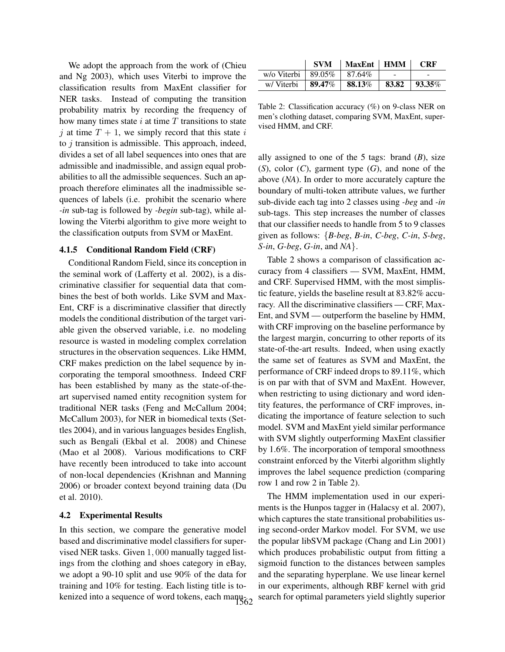We adopt the approach from the work of (Chieu and Ng 2003), which uses Viterbi to improve the classification results from MaxEnt classifier for NER tasks. Instead of computing the transition probability matrix by recording the frequency of how many times state  $i$  at time  $T$  transitions to state j at time  $T + 1$ , we simply record that this state i to  $j$  transition is admissible. This approach, indeed, divides a set of all label sequences into ones that are admissible and inadmissible, and assign equal probabilities to all the admissible sequences. Such an approach therefore eliminates all the inadmissible sequences of labels (i.e. prohibit the scenario where *-in* sub-tag is followed by *-begin* sub-tag), while allowing the Viterbi algorithm to give more weight to the classification outputs from SVM or MaxEnt.

# 4.1.5 Conditional Random Field (CRF)

Conditional Random Field, since its conception in the seminal work of (Lafferty et al. 2002), is a discriminative classifier for sequential data that combines the best of both worlds. Like SVM and Max-Ent, CRF is a discriminative classifier that directly models the conditional distribution of the target variable given the observed variable, i.e. no modeling resource is wasted in modeling complex correlation structures in the observation sequences. Like HMM, CRF makes prediction on the label sequence by incorporating the temporal smoothness. Indeed CRF has been established by many as the state-of-theart supervised named entity recognition system for traditional NER tasks (Feng and McCallum 2004; McCallum 2003), for NER in biomedical texts (Settles 2004), and in various languages besides English, such as Bengali (Ekbal et al. 2008) and Chinese (Mao et al 2008). Various modifications to CRF have recently been introduced to take into account of non-local dependencies (Krishnan and Manning 2006) or broader context beyond training data (Du et al. 2010).

# 4.2 Experimental Results

In this section, we compare the generative model based and discriminative model classifiers for supervised NER tasks. Given 1, 000 manually tagged listings from the clothing and shoes category in eBay, we adopt a 90-10 split and use 90% of the data for training and 10% for testing. Each listing title is tokenized into a sequence of word tokens, each manu-

|                         | <b>SVM</b> | MaxEnt   HMM |       | <b>CRF</b>     |
|-------------------------|------------|--------------|-------|----------------|
| w/o Viterbi   $89.05\%$ |            | 87.64%       |       |                |
| w/Viterbi               | 89.47%     | 88.13%       | 83.82 | $\vert$ 93.35% |

Table 2: Classification accuracy (%) on 9-class NER on men's clothing dataset, comparing SVM, MaxEnt, supervised HMM, and CRF.

ally assigned to one of the 5 tags: brand  $(B)$ , size (*S*), color (*C*), garment type (*G*), and none of the above (*NA*). In order to more accurately capture the boundary of multi-token attribute values, we further sub-divide each tag into 2 classes using *-beg* and *-in* sub-tags. This step increases the number of classes that our classifier needs to handle from 5 to 9 classes given as follows: {*B-beg*, *B-in*, *C-beg*, *C-in*, *S-beg*, *S-in*, *G-beg*, *G-in*, and *NA*}.

Table 2 shows a comparison of classification accuracy from 4 classifiers — SVM, MaxEnt, HMM, and CRF. Supervised HMM, with the most simplistic feature, yields the baseline result at 83.82% accuracy. All the discriminative classifiers — CRF, Max-Ent, and SVM — outperform the baseline by HMM, with CRF improving on the baseline performance by the largest margin, concurring to other reports of its state-of-the-art results. Indeed, when using exactly the same set of features as SVM and MaxEnt, the performance of CRF indeed drops to 89.11%, which is on par with that of SVM and MaxEnt. However, when restricting to using dictionary and word identity features, the performance of CRF improves, indicating the importance of feature selection to such model. SVM and MaxEnt yield similar performance with SVM slightly outperforming MaxEnt classifier by 1.6%. The incorporation of temporal smoothness constraint enforced by the Viterbi algorithm slightly improves the label sequence prediction (comparing row 1 and row 2 in Table 2).

The HMM implementation used in our experiments is the Hunpos tagger in (Halacsy et al. 2007), which captures the state transitional probabilities using second-order Markov model. For SVM, we use the popular libSVM package (Chang and Lin 2001) which produces probabilistic output from fitting a sigmoid function to the distances between samples and the separating hyperplane. We use linear kernel in our experiments, although RBF kernel with grid search for optimal parameters yield slightly superior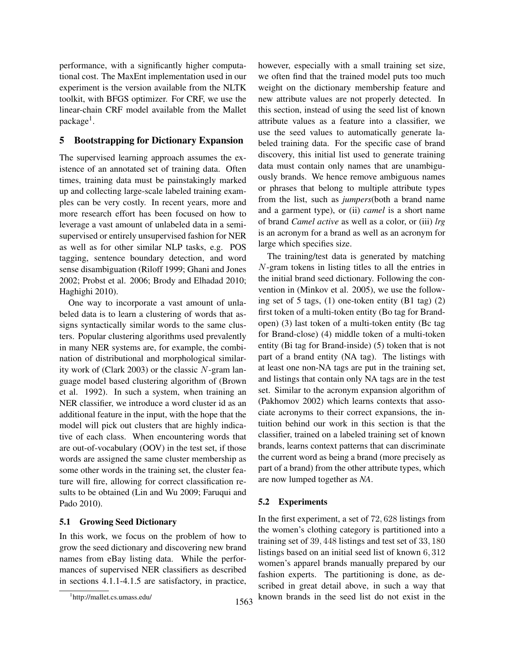performance, with a significantly higher computational cost. The MaxEnt implementation used in our experiment is the version available from the NLTK toolkit, with BFGS optimizer. For CRF, we use the linear-chain CRF model available from the Mallet package<sup>1</sup>.

# 5 Bootstrapping for Dictionary Expansion

The supervised learning approach assumes the existence of an annotated set of training data. Often times, training data must be painstakingly marked up and collecting large-scale labeled training examples can be very costly. In recent years, more and more research effort has been focused on how to leverage a vast amount of unlabeled data in a semisupervised or entirely unsupervised fashion for NER as well as for other similar NLP tasks, e.g. POS tagging, sentence boundary detection, and word sense disambiguation (Riloff 1999; Ghani and Jones 2002; Probst et al. 2006; Brody and Elhadad 2010; Haghighi 2010).

One way to incorporate a vast amount of unlabeled data is to learn a clustering of words that assigns syntactically similar words to the same clusters. Popular clustering algorithms used prevalently in many NER systems are, for example, the combination of distributional and morphological similarity work of (Clark 2003) or the classic N-gram language model based clustering algorithm of (Brown et al. 1992). In such a system, when training an NER classifier, we introduce a word cluster id as an additional feature in the input, with the hope that the model will pick out clusters that are highly indicative of each class. When encountering words that are out-of-vocabulary (OOV) in the test set, if those words are assigned the same cluster membership as some other words in the training set, the cluster feature will fire, allowing for correct classification results to be obtained (Lin and Wu 2009; Faruqui and Pado 2010).

# 5.1 Growing Seed Dictionary

In this work, we focus on the problem of how to grow the seed dictionary and discovering new brand names from eBay listing data. While the performances of supervised NER classifiers as described in sections 4.1.1-4.1.5 are satisfactory, in practice, however, especially with a small training set size, we often find that the trained model puts too much weight on the dictionary membership feature and new attribute values are not properly detected. In this section, instead of using the seed list of known attribute values as a feature into a classifier, we use the seed values to automatically generate labeled training data. For the specific case of brand discovery, this initial list used to generate training data must contain only names that are unambiguously brands. We hence remove ambiguous names or phrases that belong to multiple attribute types from the list, such as *jumpers*(both a brand name and a garment type), or (ii) *camel* is a short name of brand *Camel active* as well as a color, or (iii) *lrg* is an acronym for a brand as well as an acronym for large which specifies size.

The training/test data is generated by matching N-gram tokens in listing titles to all the entries in the initial brand seed dictionary. Following the convention in (Minkov et al. 2005), we use the following set of 5 tags, (1) one-token entity (B1 tag) (2) first token of a multi-token entity (Bo tag for Brandopen) (3) last token of a multi-token entity (Bc tag for Brand-close) (4) middle token of a multi-token entity (Bi tag for Brand-inside) (5) token that is not part of a brand entity (NA tag). The listings with at least one non-NA tags are put in the training set, and listings that contain only NA tags are in the test set. Similar to the acronym expansion algorithm of (Pakhomov 2002) which learns contexts that associate acronyms to their correct expansions, the intuition behind our work in this section is that the classifier, trained on a labeled training set of known brands, learns context patterns that can discriminate the current word as being a brand (more precisely as part of a brand) from the other attribute types, which are now lumped together as *NA*.

# 5.2 Experiments

In the first experiment, a set of 72, 628 listings from the women's clothing category is partitioned into a training set of 39, 448 listings and test set of 33, 180 listings based on an initial seed list of known 6, 312 women's apparel brands manually prepared by our fashion experts. The partitioning is done, as described in great detail above, in such a way that 1563 known brands in the seed list do not exist in the

<sup>1</sup> http://mallet.cs.umass.edu/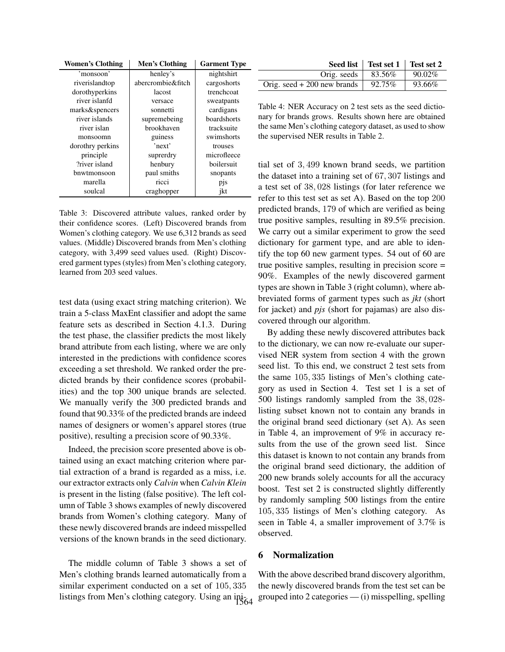| <b>Women's Clothing</b> | Men's Clothing    | <b>Garment Type</b> |
|-------------------------|-------------------|---------------------|
| 'monsoon'               | henley's          | nightshirt          |
| riverislandtop          | abercrombie&fitch | cargoshorts         |
| dorothyperkins          | lacost            | trenchcoat          |
| river islanfd           | versace           | sweatpants          |
| marks&spencers          | sonnetti          | cardigans           |
| river islands           | supremebeing      | boardshorts         |
| river islan             | brookhaven        | tracksuite          |
| monsoomn                | guiness           | swimshorts          |
| dorothry perkins        | 'next'            | trouses             |
| principle               | suprerdry         | microfleece         |
| ?river island           | henbury           | boilersuit          |
| bnwtmonsoon             | paul smiths       | snopants            |
| marella                 | ricci             | pis                 |
| soulcal                 | craghopper        | ikt                 |

Table 3: Discovered attribute values, ranked order by their confidence scores. (Left) Discovered brands from Women's clothing category. We use 6,312 brands as seed values. (Middle) Discovered brands from Men's clothing category, with 3,499 seed values used. (Right) Discovered garment types (styles) from Men's clothing category, learned from 203 seed values.

test data (using exact string matching criterion). We train a 5-class MaxEnt classifier and adopt the same feature sets as described in Section 4.1.3. During the test phase, the classifier predicts the most likely brand attribute from each listing, where we are only interested in the predictions with confidence scores exceeding a set threshold. We ranked order the predicted brands by their confidence scores (probabilities) and the top 300 unique brands are selected. We manually verify the 300 predicted brands and found that 90.33% of the predicted brands are indeed names of designers or women's apparel stores (true positive), resulting a precision score of 90.33%.

Indeed, the precision score presented above is obtained using an exact matching criterion where partial extraction of a brand is regarded as a miss, i.e. our extractor extracts only *Calvin* when *Calvin Klein* is present in the listing (false positive). The left column of Table 3 shows examples of newly discovered brands from Women's clothing category. Many of these newly discovered brands are indeed misspelled versions of the known brands in the seed dictionary.

The middle column of Table 3 shows a set of Men's clothing brands learned automatically from a similar experiment conducted on a set of 105, 335 listings from Men's clothing category. Using an ini- $\frac{1}{64}$ 

|                              | Seed list   Test set 1   Test set 2 |           |
|------------------------------|-------------------------------------|-----------|
| Orig. seeds                  | 83.56%                              | $90.02\%$ |
| Orig. seed $+200$ new brands | 92.75%                              | 93.66%    |

Table 4: NER Accuracy on 2 test sets as the seed dictionary for brands grows. Results shown here are obtained the same Men's clothing category dataset, as used to show the supervised NER results in Table 2.

tial set of 3, 499 known brand seeds, we partition the dataset into a training set of 67, 307 listings and a test set of 38, 028 listings (for later reference we refer to this test set as set A). Based on the top 200 predicted brands, 179 of which are verified as being true positive samples, resulting in 89.5% precision. We carry out a similar experiment to grow the seed dictionary for garment type, and are able to identify the top 60 new garment types. 54 out of 60 are true positive samples, resulting in precision score = 90%. Examples of the newly discovered garment types are shown in Table 3 (right column), where abbreviated forms of garment types such as *jkt* (short for jacket) and *pjs* (short for pajamas) are also discovered through our algorithm.

By adding these newly discovered attributes back to the dictionary, we can now re-evaluate our supervised NER system from section 4 with the grown seed list. To this end, we construct 2 test sets from the same 105, 335 listings of Men's clothing category as used in Section 4. Test set 1 is a set of 500 listings randomly sampled from the 38, 028 listing subset known not to contain any brands in the original brand seed dictionary (set A). As seen in Table 4, an improvement of 9% in accuracy results from the use of the grown seed list. Since this dataset is known to not contain any brands from the original brand seed dictionary, the addition of 200 new brands solely accounts for all the accuracy boost. Test set 2 is constructed slightly differently by randomly sampling 500 listings from the entire 105, 335 listings of Men's clothing category. As seen in Table 4, a smaller improvement of 3.7% is observed.

## 6 Normalization

With the above described brand discovery algorithm, the newly discovered brands from the test set can be grouped into 2 categories  $-$  (i) misspelling, spelling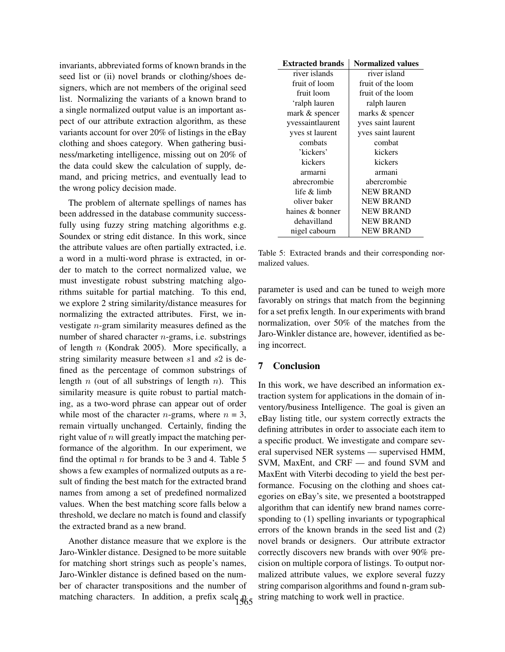invariants, abbreviated forms of known brands in the seed list or (ii) novel brands or clothing/shoes designers, which are not members of the original seed list. Normalizing the variants of a known brand to a single normalized output value is an important aspect of our attribute extraction algorithm, as these variants account for over 20% of listings in the eBay clothing and shoes category. When gathering business/marketing intelligence, missing out on 20% of the data could skew the calculation of supply, demand, and pricing metrics, and eventually lead to the wrong policy decision made.

The problem of alternate spellings of names has been addressed in the database community successfully using fuzzy string matching algorithms e.g. Soundex or string edit distance. In this work, since the attribute values are often partially extracted, i.e. a word in a multi-word phrase is extracted, in order to match to the correct normalized value, we must investigate robust substring matching algorithms suitable for partial matching. To this end, we explore 2 string similarity/distance measures for normalizing the extracted attributes. First, we investigate n-gram similarity measures defined as the number of shared character n-grams, i.e. substrings of length  $n$  (Kondrak 2005). More specifically, a string similarity measure between s1 and s2 is defined as the percentage of common substrings of length  $n$  (out of all substrings of length  $n$ ). This similarity measure is quite robust to partial matching, as a two-word phrase can appear out of order while most of the character *n*-grams, where  $n = 3$ , remain virtually unchanged. Certainly, finding the right value of  $n$  will greatly impact the matching performance of the algorithm. In our experiment, we find the optimal  $n$  for brands to be 3 and 4. Table 5 shows a few examples of normalized outputs as a result of finding the best match for the extracted brand names from among a set of predefined normalized values. When the best matching score falls below a threshold, we declare no match is found and classify the extracted brand as a new brand.

Another distance measure that we explore is the Jaro-Winkler distance. Designed to be more suitable for matching short strings such as people's names, Jaro-Winkler distance is defined based on the number of character transpositions and the number of matching characters. In addition, a prefix scale  $\mathfrak{p}_{65}$ 

| <b>Extracted brands</b> | <b>Normalized values</b> |  |
|-------------------------|--------------------------|--|
| river islands           | river island             |  |
| fruit of loom           | fruit of the loom        |  |
| fruit loom              | fruit of the loom        |  |
| 'ralph lauren           | ralph lauren             |  |
| mark & spencer          | marks & spencer          |  |
| yvessaintlaurent        | yves saint laurent       |  |
| yves st laurent         | yves saint laurent       |  |
| combats                 | combat                   |  |
| 'kickers'               | kickers                  |  |
| kickers                 | kickers                  |  |
| armarni                 | armani                   |  |
| abrecrombie             | abercrombie              |  |
| life & limb             | <b>NEW BRAND</b>         |  |
| oliver baker            | <b>NEW BRAND</b>         |  |
| haines & bonner         | <b>NEW BRAND</b>         |  |
| dehavilland             | <b>NEW BRAND</b>         |  |
| nigel cabourn           | <b>NEW BRAND</b>         |  |

Table 5: Extracted brands and their corresponding normalized values.

parameter is used and can be tuned to weigh more favorably on strings that match from the beginning for a set prefix length. In our experiments with brand normalization, over 50% of the matches from the Jaro-Winkler distance are, however, identified as being incorrect.

# 7 Conclusion

In this work, we have described an information extraction system for applications in the domain of inventory/business Intelligence. The goal is given an eBay listing title, our system correctly extracts the defining attributes in order to associate each item to a specific product. We investigate and compare several supervised NER systems — supervised HMM, SVM, MaxEnt, and CRF — and found SVM and MaxEnt with Viterbi decoding to yield the best performance. Focusing on the clothing and shoes categories on eBay's site, we presented a bootstrapped algorithm that can identify new brand names corresponding to (1) spelling invariants or typographical errors of the known brands in the seed list and (2) novel brands or designers. Our attribute extractor correctly discovers new brands with over 90% precision on multiple corpora of listings. To output normalized attribute values, we explore several fuzzy string comparison algorithms and found n-gram substring matching to work well in practice.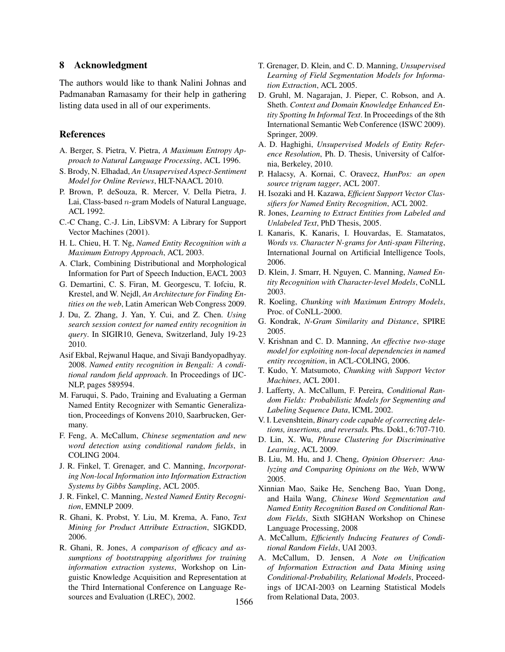## 8 Acknowledgment

The authors would like to thank Nalini Johnas and Padmanaban Ramasamy for their help in gathering listing data used in all of our experiments.

#### References

- A. Berger, S. Pietra, V. Pietra, *A Maximum Entropy Approach to Natural Language Processing*, ACL 1996.
- S. Brody, N. Elhadad, *An Unsupervised Aspect-Sentiment Model for Online Reviews*, HLT-NAACL 2010.
- P. Brown, P. deSouza, R. Mercer, V. Della Pietra, J. Lai, Class-based n-gram Models of Natural Language, ACL 1992.
- C.-C Chang, C.-J. Lin, LibSVM: A Library for Support Vector Machines (2001).
- H. L. Chieu, H. T. Ng, *Named Entity Recognition with a Maximum Entropy Approach*, ACL 2003.
- A. Clark, Combining Distributional and Morphological Information for Part of Speech Induction, EACL 2003
- G. Demartini, C. S. Firan, M. Georgescu, T. Iofciu, R. Krestel, and W. Nejdl, *An Architecture for Finding Entities on the web*, Latin American Web Congress 2009.
- J. Du, Z. Zhang, J. Yan, Y. Cui, and Z. Chen. *Using search session context for named entity recognition in query*. In SIGIR10, Geneva, Switzerland, July 19-23 2010.
- Asif Ekbal, Rejwanul Haque, and Sivaji Bandyopadhyay. 2008. *Named entity recognition in Bengali: A conditional random field approach*. In Proceedings of IJC-NLP, pages 589594.
- M. Faruqui, S. Pado, Training and Evaluating a German Named Entity Recognizer with Semantic Generalization, Proceedings of Konvens 2010, Saarbrucken, Germany.
- F. Feng, A. McCallum, *Chinese segmentation and new word detection using conditional random fields*, in COLING 2004.
- J. R. Finkel, T. Grenager, and C. Manning, *Incorporating Non-local Information into Information Extraction Systems by Gibbs Sampling*, ACL 2005.
- J. R. Finkel, C. Manning, *Nested Named Entity Recognition*, EMNLP 2009.
- R. Ghani, K. Probst, Y. Liu, M. Krema, A. Fano, *Text Mining for Product Attribute Extraction*, SIGKDD, 2006.
- R. Ghani, R. Jones, *A comparison of efficacy and assumptions of bootstrapping algorithms for training information extraction systems*, Workshop on Linguistic Knowledge Acquisition and Representation at the Third International Conference on Language Resources and Evaluation (LREC), 2002.
- T. Grenager, D. Klein, and C. D. Manning, *Unsupervised Learning of Field Segmentation Models for Information Extraction*, ACL 2005.
- D. Gruhl, M. Nagarajan, J. Pieper, C. Robson, and A. Sheth. *Context and Domain Knowledge Enhanced Entity Spotting In Informal Text*. In Proceedings of the 8th International Semantic Web Conference (ISWC 2009). Springer, 2009.
- A. D. Haghighi, *Unsupervised Models of Entity Reference Resolution*, Ph. D. Thesis, University of Calfornia, Berkeley, 2010.
- P. Halacsy, A. Kornai, C. Oravecz, *HunPos: an open source trigram tagger*, ACL 2007.
- H. Isozaki and H. Kazawa, *Efficient Support Vector Classifiers for Named Entity Recognition*, ACL 2002.
- R. Jones, *Learning to Extract Entities from Labeled and Unlabeled Text*, PhD Thesis, 2005.
- I. Kanaris, K. Kanaris, I. Houvardas, E. Stamatatos, *Words vs. Character N-grams for Anti-spam Filtering*, International Journal on Artificial Intelligence Tools, 2006.
- D. Klein, J. Smarr, H. Nguyen, C. Manning, *Named Entity Recognition with Character-level Models*, CoNLL 2003.
- R. Koeling, *Chunking with Maximum Entropy Models*, Proc. of CoNLL-2000.
- G. Kondrak, *N-Gram Similarity and Distance*, SPIRE 2005.
- V. Krishnan and C. D. Manning, *An effective two-stage model for exploiting non-local dependencies in named entity recognition*, in ACL-COLING, 2006.
- T. Kudo, Y. Matsumoto, *Chunking with Support Vector Machines*, ACL 2001.
- J. Lafferty, A. McCallum, F. Pereira, *Conditional Random Fields: Probabilistic Models for Segmenting and Labeling Sequence Data*, ICML 2002.
- V. I. Levenshtein, *Binary code capable of correcting deletions, insertions, and reversals.* Phs. Dokl., 6:707-710.
- D. Lin, X. Wu, *Phrase Clustering for Discriminative Learning*, ACL 2009.
- B. Liu, M. Hu, and J. Cheng, *Opinion Observer: Analyzing and Comparing Opinions on the Web*, WWW 2005.
- Xinnian Mao, Saike He, Sencheng Bao, Yuan Dong, and Haila Wang, *Chinese Word Segmentation and Named Entity Recognition Based on Conditional Random Fields*, Sixth SIGHAN Workshop on Chinese Language Processing, 2008
- A. McCallum, *Efficiently Inducing Features of Conditional Random Fields*, UAI 2003.
- A. McCallum, D. Jensen, *A Note on Unification of Information Extraction and Data Mining using Conditional-Probability, Relational Models*, Proceedings of IJCAI-2003 on Learning Statistical Models from Relational Data, 2003. <sup>1566</sup>